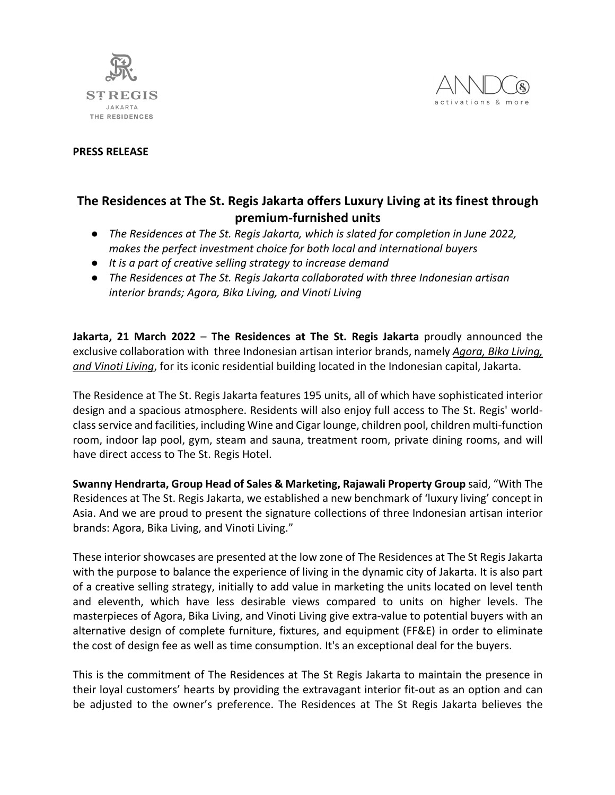



## **PRESS RELEASE**

## **The Residences at The St. Regis Jakarta offers Luxury Living at its finest through premium-furnished units**

- *The Residences at The St. Regis Jakarta, which is slated for completion in June 2022, makes the perfect investment choice for both local and international buyers*
- *It is a part of creative selling strategy to increase demand*
- *The Residences at The St. Regis Jakarta collaborated with three Indonesian artisan interior brands; Agora, Bika Living, and Vinoti Living*

**Jakarta, 21 March 2022** – **The Residences at The St. Regis Jakarta** proudly announced the exclusive collaboration with three Indonesian artisan interior brands, namely *Agora, Bika Living, and Vinoti Living*, for its iconic residential building located in the Indonesian capital, Jakarta.

The Residence at The St. Regis Jakarta features 195 units, all of which have sophisticated interior design and a spacious atmosphere. Residents will also enjoy full access to The St. Regis' worldclass service and facilities, including Wine and Cigar lounge, children pool, children multi-function room, indoor lap pool, gym, steam and sauna, treatment room, private dining rooms, and will have direct access to The St. Regis Hotel.

**Swanny Hendrarta, Group Head of Sales & Marketing, Rajawali Property Group** said, "With The Residences at The St. Regis Jakarta, we established a new benchmark of 'luxury living' concept in Asia. And we are proud to present the signature collections of three Indonesian artisan interior brands: Agora, Bika Living, and Vinoti Living."

These interior showcases are presented at the low zone of The Residences at The St Regis Jakarta with the purpose to balance the experience of living in the dynamic city of Jakarta. It is also part of a creative selling strategy, initially to add value in marketing the units located on level tenth and eleventh, which have less desirable views compared to units on higher levels. The masterpieces of Agora, Bika Living, and Vinoti Living give extra-value to potential buyers with an alternative design of complete furniture, fixtures, and equipment (FF&E) in order to eliminate the cost of design fee as well as time consumption. It's an exceptional deal for the buyers.

This is the commitment of The Residences at The St Regis Jakarta to maintain the presence in their loyal customers' hearts by providing the extravagant interior fit-out as an option and can be adjusted to the owner's preference. The Residences at The St Regis Jakarta believes the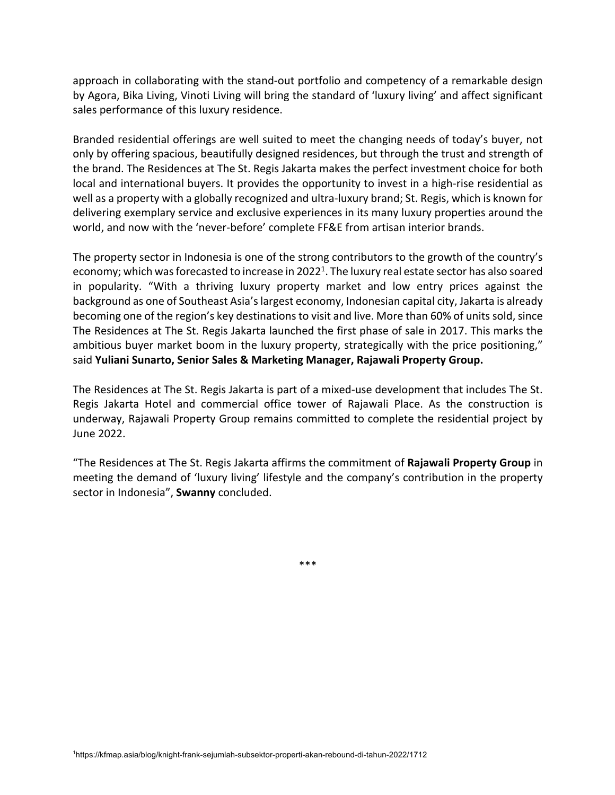approach in collaborating with the stand-out portfolio and competency of a remarkable design by Agora, Bika Living, Vinoti Living will bring the standard of 'luxury living' and affect significant sales performance of this luxury residence.

Branded residential offerings are well suited to meet the changing needs of today's buyer, not only by offering spacious, beautifully designed residences, but through the trust and strength of the brand. The Residences at The St. Regis Jakarta makes the perfect investment choice for both local and international buyers. It provides the opportunity to invest in a high-rise residential as well as a property with a globally recognized and ultra-luxury brand; St. Regis, which is known for delivering exemplary service and exclusive experiences in its many luxury properties around the world, and now with the 'never-before' complete FF&E from artisan interior brands.

The property sector in Indonesia is one of the strong contributors to the growth of the country's economy; which was forecasted to increase in 2022<sup>1</sup>. The luxury real estate sector has also soared in popularity. "With a thriving luxury property market and low entry prices against the background as one of Southeast Asia's largest economy, Indonesian capital city, Jakarta is already becoming one of the region's key destinations to visit and live. More than 60% of units sold, since The Residences at The St. Regis Jakarta launched the first phase of sale in 2017. This marks the ambitious buyer market boom in the luxury property, strategically with the price positioning," said **Yuliani Sunarto, Senior Sales & Marketing Manager, Rajawali Property Group.**

The Residences at The St. Regis Jakarta is part of a mixed-use development that includes The St. Regis Jakarta Hotel and commercial office tower of Rajawali Place. As the construction is underway, Rajawali Property Group remains committed to complete the residential project by June 2022.

"The Residences at The St. Regis Jakarta affirms the commitment of **Rajawali Property Group** in meeting the demand of 'luxury living' lifestyle and the company's contribution in the property sector in Indonesia", **Swanny** concluded.

\*\*\*